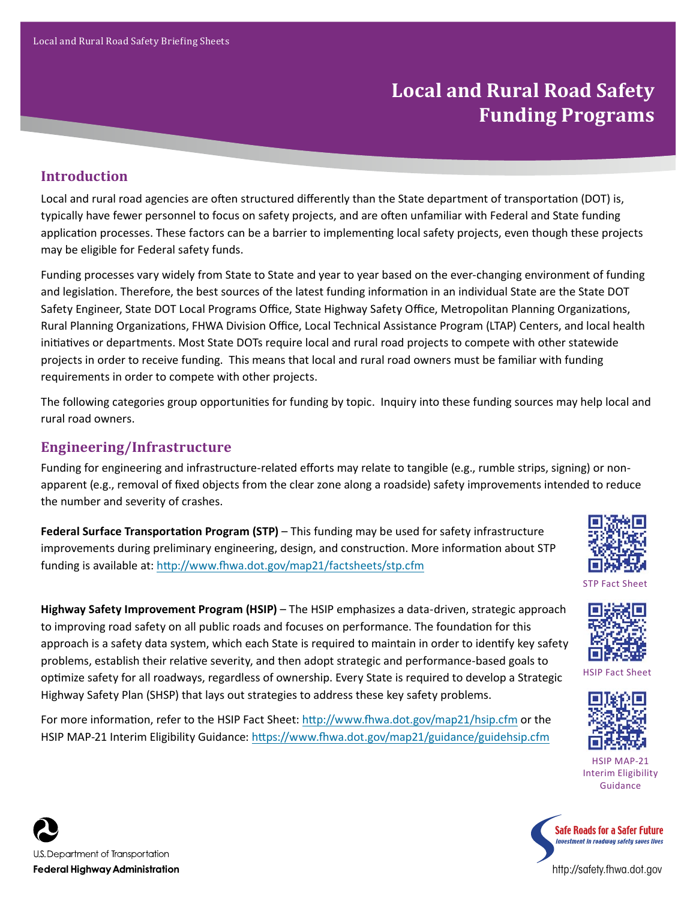# **Local and Rural Road Safety Funding Programs**

#### **Introduction**

Local and rural road agencies are often structured differently than the State department of transportation (DOT) is, typically have fewer personnel to focus on safety projects, and are often unfamiliar with Federal and State funding application processes. These factors can be a barrier to implementing local safety projects, even though these projects may be eligible for Federal safety funds.

Funding processes vary widely from State to State and year to year based on the ever-changing environment of funding and legislation. Therefore, the best sources of the latest funding information in an individual State are the State DOT Safety Engineer, State DOT Local Programs Office, State Highway Safety Office, Metropolitan Planning Organizations, Rural Planning Organizations, FHWA Division Office, Local Technical Assistance Program (LTAP) Centers, and local health initiatives or departments. Most State DOTs require local and rural road projects to compete with other statewide projects in order to receive funding. This means that local and rural road owners must be familiar with funding requirements in order to compete with other projects.

The following categories group opportunities for funding by topic. Inquiry into these funding sources may help local and rural road owners.

#### **Engineering/Infrastructure**

Funding for engineering and infrastructure-related efforts may relate to tangible (e.g., rumble strips, signing) or nonapparent (e.g., removal of fixed objects from the clear zone along a roadside) safety improvements intended to reduce the number and severity of crashes.

**Federal Surface Transportation Program (STP)** – This funding may be used for safety infrastructure improvements during preliminary engineering, design, and construction. More information about STP funding is available at: http://www.fhwa.dot.gov/map21/factsheets/stp.cfm

**Highway Safety Improvement Program (HSIP)** – The HSIP emphasizes a data-driven, strategic approach

approach is a safety data system, which each State is required to maintain in order to identify key safety problems, establish their relative severity, and then adopt strategic and performance-based goals to optimize safety for all roadways, regardless of ownership. Every State is required to develop a Strategic

to improving road safety on all public roads and focuses on performance. The foundation for this



STP Fact Sheet

HSIP Fact Sheet

HSIP MAP-21 Interim Eligibility Guidance



Highway Safety Plan (SHSP) that lays out strategies to address these key safety problems. For more information, refer to the HSIP Fact Sheet: http://www.fhwa.dot.gov/map21/hsip.cfm or the HSIP MAP-21 Interim Eligibility Guidance: https://www.fhwa.dot.gov/map21/guidance/guidehsip.cfm



http://safety.fhwa.dot.gov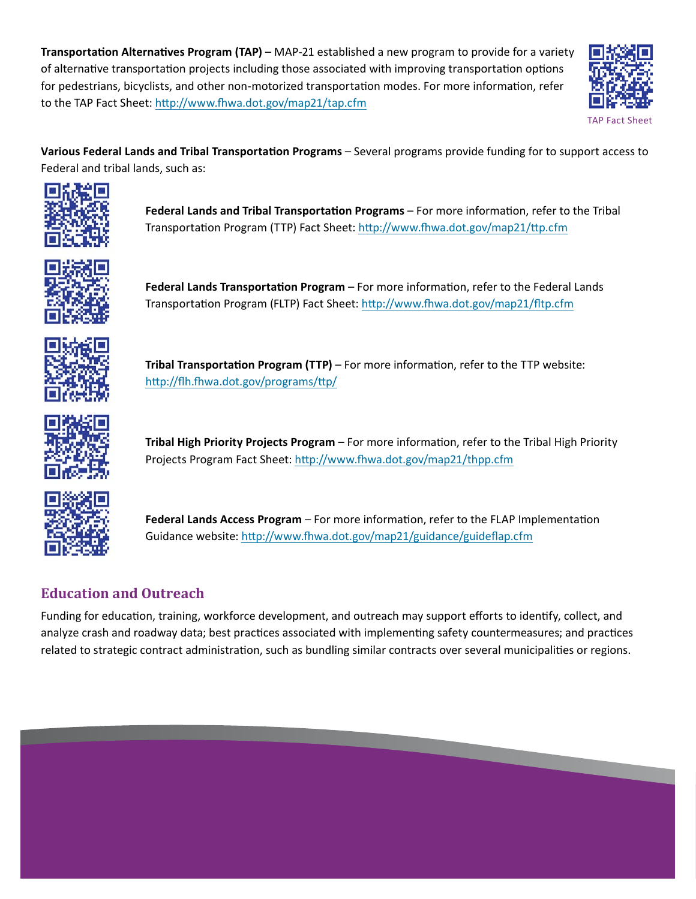**Transportation Alternatives Program (TAP)** – MAP-21 established a new program to provide for a variety of alternative transportation projects including those associated with improving transportation options for pedestrians, bicyclists, and other non-motorized transportation modes. For more information, refer to the TAP Fact Sheet: http://www.fhwa.dot.gov/map21/tap.cfm



**Various Federal Lands and Tribal Transportation Programs** – Several programs provide funding for to support access to Federal and tribal lands, such as:



**Federal Lands and Tribal Transportation Programs** – For more information, refer to the Tribal Transportation Program (TTP) Fact Sheet: http://www.fhwa.dot.gov/map21/ttp.cfm



**Federal Lands Transportation Program** – For more information, refer to the Federal Lands Transportation Program (FLTP) Fact Sheet: http://www.fhwa.dot.gov/map21/fltp.cfm



**Tribal Transportation Program (TTP)** – For more information, refer to the TTP website: http://flh.fhwa.dot.gov/programs/ttp/



**Tribal High Priority Projects Program** – For more information, refer to the Tribal High Priority Projects Program Fact Sheet: http://www.fhwa.dot.gov/map21/thpp.cfm



**Federal Lands Access Program** – For more information, refer to the FLAP Implementation Guidance website: http://www.fhwa.dot.gov/map21/guidance/guideflap.cfm

## **Education and Outreach**

Funding for education, training, workforce development, and outreach may support efforts to identify, collect, and analyze crash and roadway data; best practices associated with implementing safety countermeasures; and practices related to strategic contract administration, such as bundling similar contracts over several municipalities or regions.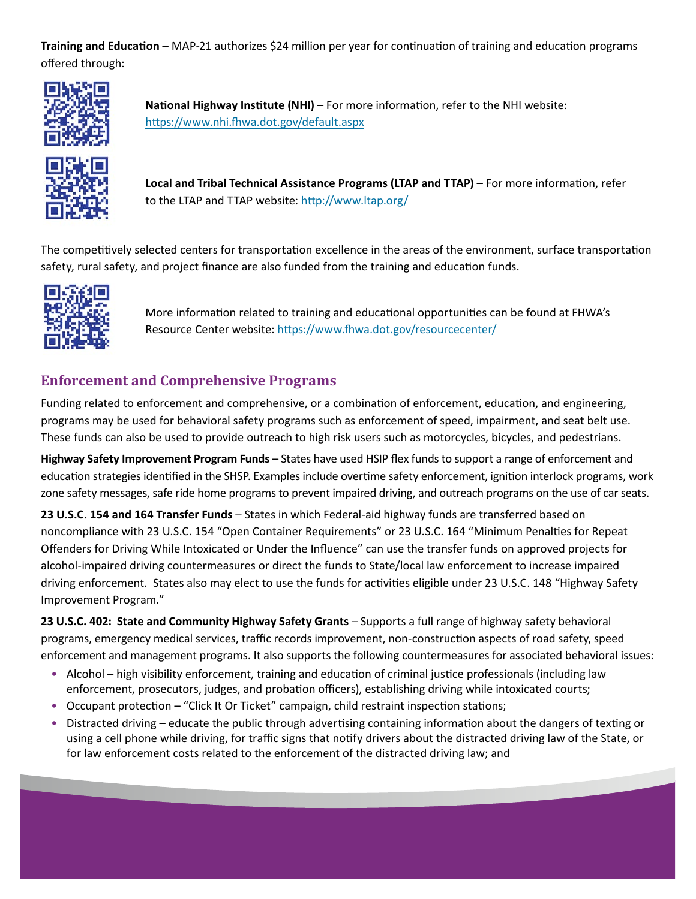**Training and Education** – MAP-21 authorizes \$24 million per year for continuation of training and education programs offered through:



**National Highway Institute (NHI)** – For more information, refer to the NHI website: https://www.nhi.fhwa.dot.gov/default.aspx



**Local and Tribal Technical Assistance Programs (LTAP and TTAP)** – For more information, refer to the LTAP and TTAP website: http://www.ltap.org/

The competitively selected centers for transportation excellence in the areas of the environment, surface transportation safety, rural safety, and project finance are also funded from the training and education funds.



More information related to training and educational opportunities can be found at FHWA's Resource Center website: https://www.fhwa.dot.gov/resourcecenter/

### **Enforcement and Comprehensive Programs**

Funding related to enforcement and comprehensive, or a combination of enforcement, education, and engineering, programs may be used for behavioral safety programs such as enforcement of speed, impairment, and seat belt use. These funds can also be used to provide outreach to high risk users such as motorcycles, bicycles, and pedestrians.

**Highway Safety Improvement Program Funds** – States have used HSIP flex funds to support a range of enforcement and education strategies identified in the SHSP. Examples include overtime safety enforcement, ignition interlock programs, work zone safety messages, safe ride home programs to prevent impaired driving, and outreach programs on the use of car seats.

**23 U.S.C. 154 and 164 Transfer Funds** – States in which Federal-aid highway funds are transferred based on noncompliance with 23 U.S.C. 154 "Open Container Requirements" or 23 U.S.C. 164 "Minimum Penalties for Repeat Offenders for Driving While Intoxicated or Under the Influence" can use the transfer funds on approved projects for alcohol-impaired driving countermeasures or direct the funds to State/local law enforcement to increase impaired driving enforcement. States also may elect to use the funds for activities eligible under 23 U.S.C. 148 "Highway Safety Improvement Program."

**23 U.S.C. 402: State and Community Highway Safety Grants** – Supports a full range of highway safety behavioral programs, emergency medical services, traffic records improvement, non-construction aspects of road safety, speed enforcement and management programs. It also supports the following countermeasures for associated behavioral issues:

- Alcohol high visibility enforcement, training and education of criminal justice professionals (including law enforcement, prosecutors, judges, and probation officers), establishing driving while intoxicated courts;
- Occupant protection "Click It Or Ticket" campaign, child restraint inspection stations;
- Distracted driving educate the public through advertising containing information about the dangers of texting or using a cell phone while driving, for traffic signs that notify drivers about the distracted driving law of the State, or for law enforcement costs related to the enforcement of the distracted driving law; and